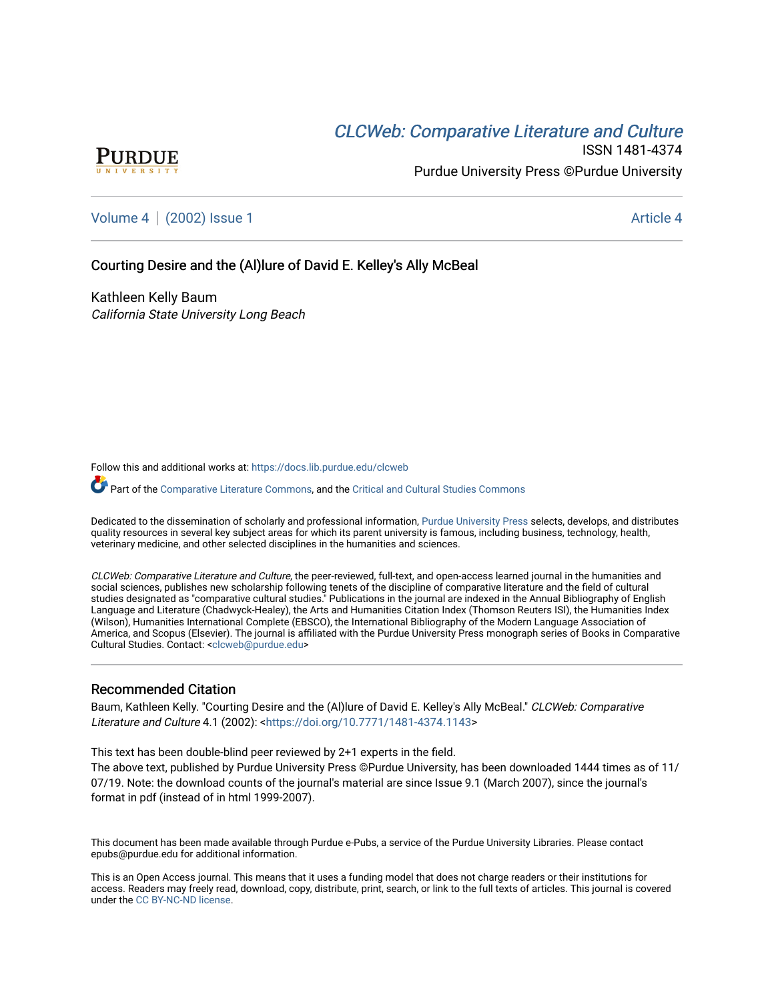# **CLCW[eb: Comparative Liter](https://docs.lib.purdue.edu/clcweb)ature and Culture**



ISSN 1481-4374 Purdue University Press ©Purdue University

### [Volume 4](https://docs.lib.purdue.edu/clcweb/vol4) | [\(2002\) Issue 1](https://docs.lib.purdue.edu/clcweb/vol4/iss1) Article 4

### Courting Desire and the (Al)lure of David E. Kelley's Ally McBeal

Kathleen Kelly Baum California State University Long Beach

Follow this and additional works at: [https://docs.lib.purdue.edu/clcweb](https://docs.lib.purdue.edu/clcweb?utm_source=docs.lib.purdue.edu%2Fclcweb%2Fvol4%2Fiss1%2F4&utm_medium=PDF&utm_campaign=PDFCoverPages)

Part of the [Comparative Literature Commons,](http://network.bepress.com/hgg/discipline/454?utm_source=docs.lib.purdue.edu%2Fclcweb%2Fvol4%2Fiss1%2F4&utm_medium=PDF&utm_campaign=PDFCoverPages) and the Critical and Cultural Studies Commons

Dedicated to the dissemination of scholarly and professional information, [Purdue University Press](http://www.thepress.purdue.edu/) selects, develops, and distributes quality resources in several key subject areas for which its parent university is famous, including business, technology, health, veterinary medicine, and other selected disciplines in the humanities and sciences.

CLCWeb: Comparative Literature and Culture, the peer-reviewed, full-text, and open-access learned journal in the humanities and social sciences, publishes new scholarship following tenets of the discipline of comparative literature and the field of cultural studies designated as "comparative cultural studies." Publications in the journal are indexed in the Annual Bibliography of English Language and Literature (Chadwyck-Healey), the Arts and Humanities Citation Index (Thomson Reuters ISI), the Humanities Index (Wilson), Humanities International Complete (EBSCO), the International Bibliography of the Modern Language Association of America, and Scopus (Elsevier). The journal is affiliated with the Purdue University Press monograph series of Books in Comparative Cultural Studies. Contact: [<clcweb@purdue.edu](mailto:clcweb@purdue.edu)>

### Recommended Citation

Baum, Kathleen Kelly. "Courting Desire and the (Al)lure of David E. Kelley's Ally McBeal." CLCWeb: Comparative Literature and Culture 4.1 (2002): [<https://doi.org/10.7771/1481-4374.1143](https://doi.org/10.7771/1481-4374.1143)>

This text has been double-blind peer reviewed by 2+1 experts in the field.

The above text, published by Purdue University Press ©Purdue University, has been downloaded 1444 times as of 11/ 07/19. Note: the download counts of the journal's material are since Issue 9.1 (March 2007), since the journal's format in pdf (instead of in html 1999-2007).

This document has been made available through Purdue e-Pubs, a service of the Purdue University Libraries. Please contact epubs@purdue.edu for additional information.

This is an Open Access journal. This means that it uses a funding model that does not charge readers or their institutions for access. Readers may freely read, download, copy, distribute, print, search, or link to the full texts of articles. This journal is covered under the [CC BY-NC-ND license.](https://creativecommons.org/licenses/by-nc-nd/4.0/)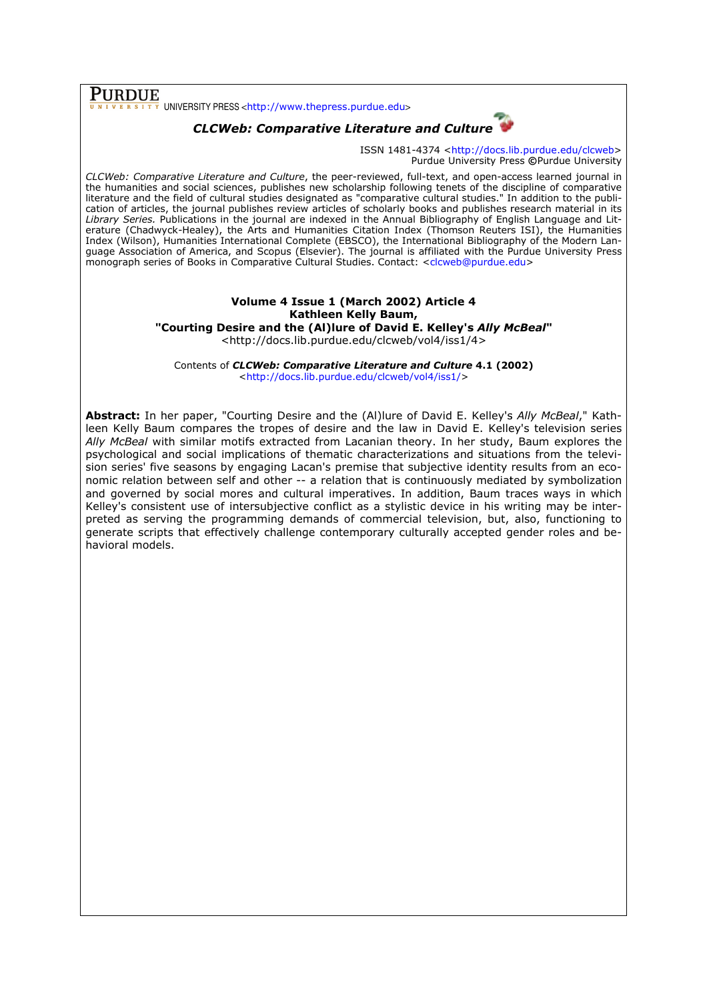## PURDUE

UNIVERSITY PRESS <http://www.thepress.purdue.edu>



ISSN 1481-4374 <http://docs.lib.purdue.edu/clcweb Purdue University Press ©Purdue University

CLCWeb: Comparative Literature and Culture, the peer-reviewed, full-text, and open-access learned journal in *CLCWeb: Comparative Literature and Culture,* the peer-reviewed, full-text, and open-access learned journal in<br>the humanities and social sciences, publishes new scholarship following tenets of the discipline of comparative literature and the field of cultural studies designated as "comparative cultural studies." In addition to the publ publication of articles, the journal publishes review articles of scholarly books and publishes research material in its Library Series. Publications in the journal are indexed in the Annual Bibliography of English Language and Literature (Chadwyck-Healey), the Arts and Humanities Citation Index (Thomson Reuters ISI), the Humanities erature (Chadwyck-Healey), the Arts and Humanities Citation Index (Thomson Reuters ISI), the Humanities<br>Index (Wilson), Humanities International Complete (EBSCO), the International Bibliography of the Modern Language Association of America, and Scopus (Elsevier). The journal is affiliated with the Purdue University Press monograph series of Books in Comparative Cultural Studies. Contact: <clcweb@purdue.edu> ISSN 1481-4374 chttp://docs.lib.purdue.edu/clcweb><br>
Paral Envirorsity Press @Purdue University<br>
near, publishes new scholarship following tenets of the discipline of comparative<br>
aral studies designated as "comparative cu

## Volume 4 Issue 1 (March 2002) Article 4 Kathleen Kelly Baum,

"Courting Desire and the (Al)lure of David E. Kelley's *Ally McBeal*"

<http://docs.lib.purdue.edu/clcweb/vol4/iss1/4>

Contents of *CLCWeb: Comparative Literature and Culture* 4.1 (2002) <http://docs.lib.purdue.edu/clcweb/vol4/iss1/ http://docs.lib.purdue.edu/clcweb/vol4/iss1/>

**Abstract:** In her paper, "Courting Desire and the (Al)lure of David E. Kelley's *Ally McBeal*," Kathleen Kelly Baum compares the tropes of desire and the law in David E. Kelley's television series Ally McBeal with similar motifs extracted from Lacanian theory. In her study, Baum explores the psychological and social implications of thematic characterizations and situations from the television series' five seasons by engaging Lacan's premise that subjective identity results from an ec economic relation between self and other -- a relation that is continuously mediated by symbolization and governed by social mores and cultural imperatives. In addition, Baum traces ways in which Kelley's consistent use of intersubjective conflict as a stylistic device in his writing may be interpreted as serving the programming demands of commercial television, but, also, functioning to generate scripts that effectively challenge contemporary culturally accepted gender roles and b behavioral models.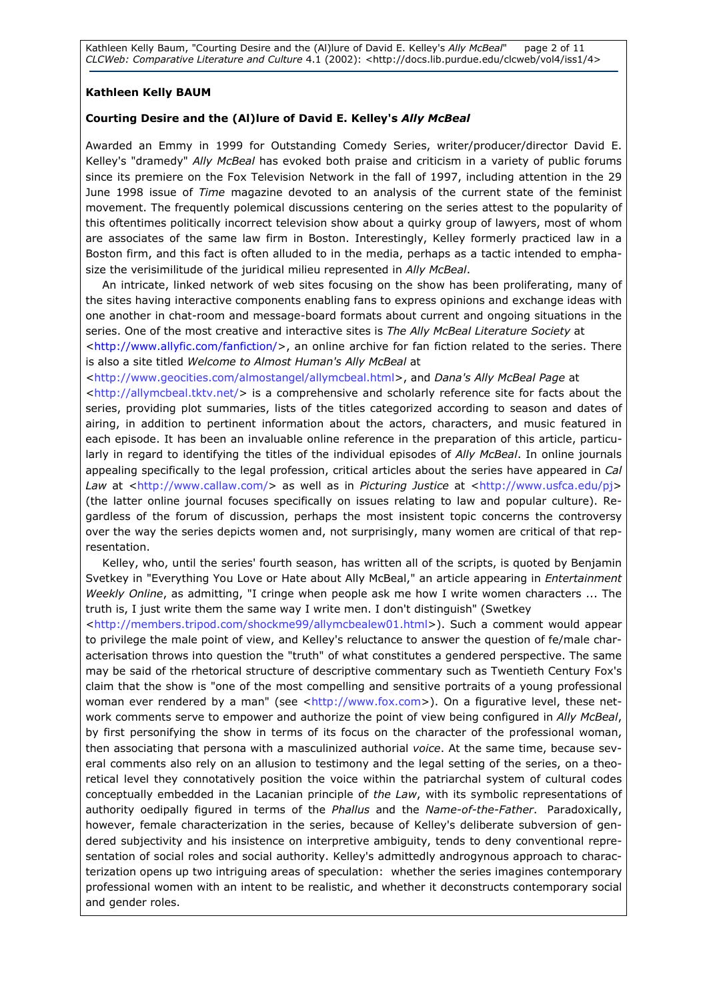Kathleen Kelly Baum, "Courting Desire and the (Al)lure of David E. Kelley's Ally McBeal" page 2 of 11 CLCWeb: Comparative Literature and Culture 4.1 (2002): <http://docs.lib.purdue.edu/clcweb/vol4/iss1/4>

### Kathleen Kelly BAUM

#### Courting Desire and the (Al)lure of David E. Kelley's Ally McBeal

Awarded an Emmy in 1999 for Outstanding Comedy Series, writer/producer/director David E. Kelley's "dramedy" Ally McBeal has evoked both praise and criticism in a variety of public forums since its premiere on the Fox Television Network in the fall of 1997, including attention in the 29 June 1998 issue of Time magazine devoted to an analysis of the current state of the feminist movement. The frequently polemical discussions centering on the series attest to the popularity of this oftentimes politically incorrect television show about a quirky group of lawyers, most of whom are associates of the same law firm in Boston. Interestingly, Kelley formerly practiced law in a Boston firm, and this fact is often alluded to in the media, perhaps as a tactic intended to emphasize the verisimilitude of the juridical milieu represented in Ally McBeal.

An intricate, linked network of web sites focusing on the show has been proliferating, many of the sites having interactive components enabling fans to express opinions and exchange ideas with one another in chat-room and message-board formats about current and ongoing situations in the series. One of the most creative and interactive sites is The Ally McBeal Literature Society at

<http://www.allyfic.com/fanfiction/>, an online archive for fan fiction related to the series. There is also a site titled Welcome to Almost Human's Ally McBeal at

<http://www.geocities.com/almostangel/allymcbeal.html>, and Dana's Ally McBeal Page at

<http://allymcbeal.tktv.net/> is a comprehensive and scholarly reference site for facts about the series, providing plot summaries, lists of the titles categorized according to season and dates of airing, in addition to pertinent information about the actors, characters, and music featured in each episode. It has been an invaluable online reference in the preparation of this article, particularly in regard to identifying the titles of the individual episodes of Ally McBeal. In online journals appealing specifically to the legal profession, critical articles about the series have appeared in Cal Law at <http://www.callaw.com/> as well as in Picturing Justice at <http://www.usfca.edu/pj> (the latter online journal focuses specifically on issues relating to law and popular culture). Regardless of the forum of discussion, perhaps the most insistent topic concerns the controversy over the way the series depicts women and, not surprisingly, many women are critical of that representation.

Kelley, who, until the series' fourth season, has written all of the scripts, is quoted by Benjamin Svetkey in "Everything You Love or Hate about Ally McBeal," an article appearing in Entertainment Weekly Online, as admitting, "I cringe when people ask me how I write women characters ... The truth is, I just write them the same way I write men. I don't distinguish" (Swetkey

<http://members.tripod.com/shockme99/allymcbealew01.html>). Such a comment would appear to privilege the male point of view, and Kelley's reluctance to answer the question of fe/male characterisation throws into question the "truth" of what constitutes a gendered perspective. The same may be said of the rhetorical structure of descriptive commentary such as Twentieth Century Fox's claim that the show is "one of the most compelling and sensitive portraits of a young professional woman ever rendered by a man" (see <http://www.fox.com>). On a figurative level, these network comments serve to empower and authorize the point of view being configured in Ally McBeal, by first personifying the show in terms of its focus on the character of the professional woman, then associating that persona with a masculinized authorial voice. At the same time, because several comments also rely on an allusion to testimony and the legal setting of the series, on a theoretical level they connotatively position the voice within the patriarchal system of cultural codes conceptually embedded in the Lacanian principle of the Law, with its symbolic representations of authority oedipally figured in terms of the Phallus and the Name-of-the-Father. Paradoxically, however, female characterization in the series, because of Kelley's deliberate subversion of gendered subjectivity and his insistence on interpretive ambiguity, tends to deny conventional representation of social roles and social authority. Kelley's admittedly androgynous approach to characterization opens up two intriguing areas of speculation: whether the series imagines contemporary professional women with an intent to be realistic, and whether it deconstructs contemporary social and gender roles.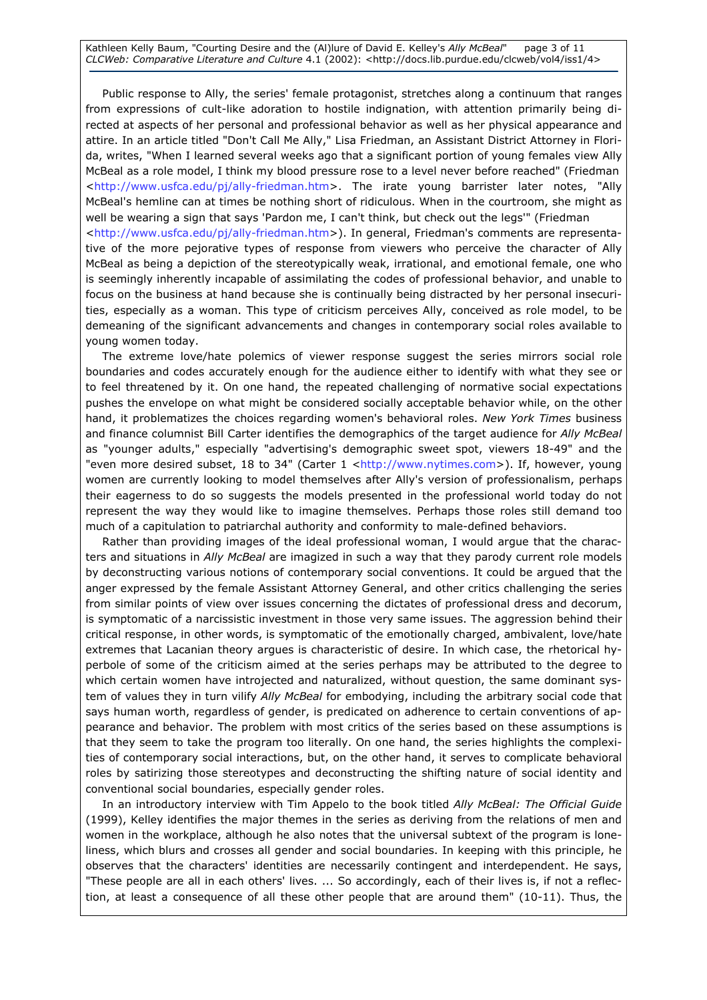Kathleen Kelly Baum, "Courting Desire and the (Al)lure of David E. Kelley's Ally McBeal" page 3 of 11 CLCWeb: Comparative Literature and Culture 4.1 (2002): <http://docs.lib.purdue.edu/clcweb/vol4/iss1/4>

Public response to Ally, the series' female protagonist, stretches along a continuum that ranges from expressions of cult-like adoration to hostile indignation, with attention primarily being directed at aspects of her personal and professional behavior as well as her physical appearance and attire. In an article titled "Don't Call Me Ally," Lisa Friedman, an Assistant District Attorney in Florida, writes, "When I learned several weeks ago that a significant portion of young females view Ally McBeal as a role model, I think my blood pressure rose to a level never before reached" (Friedman <http://www.usfca.edu/pj/ally-friedman.htm>. The irate young barrister later notes, "Ally McBeal's hemline can at times be nothing short of ridiculous. When in the courtroom, she might as well be wearing a sign that says 'Pardon me, I can't think, but check out the legs'" (Friedman <http://www.usfca.edu/pj/ally-friedman.htm>). In general, Friedman's comments are representative of the more pejorative types of response from viewers who perceive the character of Ally McBeal as being a depiction of the stereotypically weak, irrational, and emotional female, one who is seemingly inherently incapable of assimilating the codes of professional behavior, and unable to focus on the business at hand because she is continually being distracted by her personal insecurities, especially as a woman. This type of criticism perceives Ally, conceived as role model, to be demeaning of the significant advancements and changes in contemporary social roles available to young women today.

The extreme love/hate polemics of viewer response suggest the series mirrors social role boundaries and codes accurately enough for the audience either to identify with what they see or to feel threatened by it. On one hand, the repeated challenging of normative social expectations pushes the envelope on what might be considered socially acceptable behavior while, on the other hand, it problematizes the choices regarding women's behavioral roles. New York Times business and finance columnist Bill Carter identifies the demographics of the target audience for Ally McBeal as "younger adults," especially "advertising's demographic sweet spot, viewers 18-49" and the "even more desired subset, 18 to 34" (Carter 1 <http://www.nytimes.com>). If, however, young women are currently looking to model themselves after Ally's version of professionalism, perhaps their eagerness to do so suggests the models presented in the professional world today do not represent the way they would like to imagine themselves. Perhaps those roles still demand too much of a capitulation to patriarchal authority and conformity to male-defined behaviors.

Rather than providing images of the ideal professional woman, I would argue that the characters and situations in Ally McBeal are imagized in such a way that they parody current role models by deconstructing various notions of contemporary social conventions. It could be argued that the anger expressed by the female Assistant Attorney General, and other critics challenging the series from similar points of view over issues concerning the dictates of professional dress and decorum, is symptomatic of a narcissistic investment in those very same issues. The aggression behind their critical response, in other words, is symptomatic of the emotionally charged, ambivalent, love/hate extremes that Lacanian theory argues is characteristic of desire. In which case, the rhetorical hyperbole of some of the criticism aimed at the series perhaps may be attributed to the degree to which certain women have introjected and naturalized, without question, the same dominant system of values they in turn vilify Ally McBeal for embodying, including the arbitrary social code that says human worth, regardless of gender, is predicated on adherence to certain conventions of appearance and behavior. The problem with most critics of the series based on these assumptions is that they seem to take the program too literally. On one hand, the series highlights the complexities of contemporary social interactions, but, on the other hand, it serves to complicate behavioral roles by satirizing those stereotypes and deconstructing the shifting nature of social identity and conventional social boundaries, especially gender roles.

In an introductory interview with Tim Appelo to the book titled Ally McBeal: The Official Guide (1999), Kelley identifies the major themes in the series as deriving from the relations of men and women in the workplace, although he also notes that the universal subtext of the program is loneliness, which blurs and crosses all gender and social boundaries. In keeping with this principle, he observes that the characters' identities are necessarily contingent and interdependent. He says, "These people are all in each others' lives. ... So accordingly, each of their lives is, if not a reflection, at least a consequence of all these other people that are around them" (10-11). Thus, the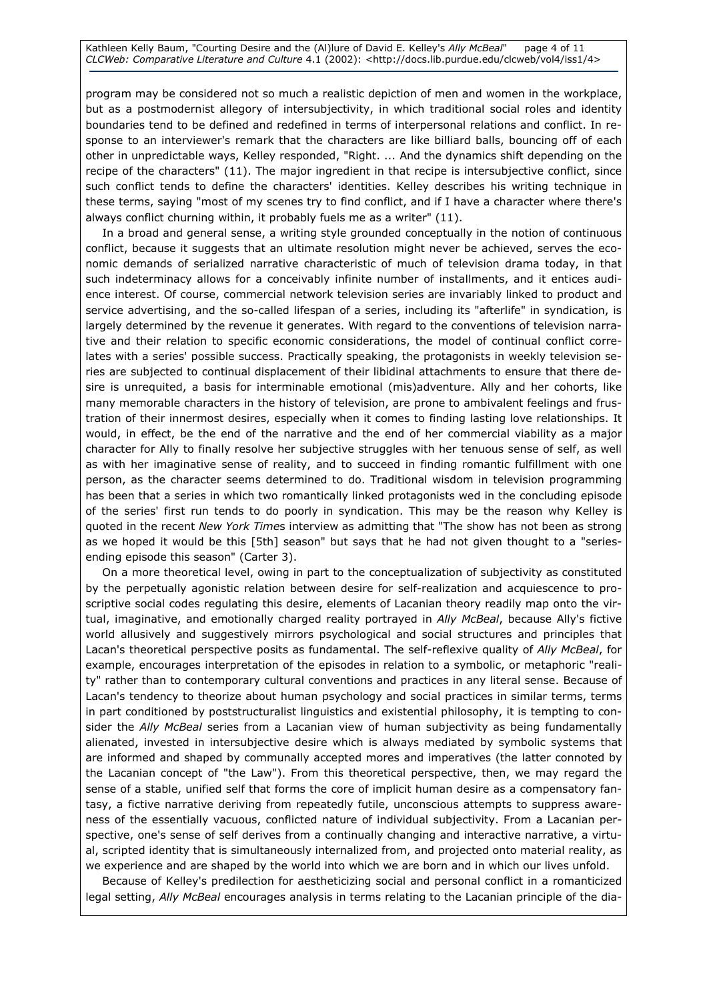Kathleen Kelly Baum, "Courting Desire and the (Al)lure of David E. Kelley's Ally McBeal" page 4 of 11 CLCWeb: Comparative Literature and Culture 4.1 (2002): <http://docs.lib.purdue.edu/clcweb/vol4/iss1/4>

program may be considered not so much a realistic depiction of men and women in the workplace, but as a postmodernist allegory of intersubjectivity, in which traditional social roles and identity boundaries tend to be defined and redefined in terms of interpersonal relations and conflict. In response to an interviewer's remark that the characters are like billiard balls, bouncing off of each other in unpredictable ways, Kelley responded, "Right. ... And the dynamics shift depending on the recipe of the characters" (11). The major ingredient in that recipe is intersubjective conflict, since such conflict tends to define the characters' identities. Kelley describes his writing technique in these terms, saying "most of my scenes try to find conflict, and if I have a character where there's always conflict churning within, it probably fuels me as a writer" (11).

In a broad and general sense, a writing style grounded conceptually in the notion of continuous conflict, because it suggests that an ultimate resolution might never be achieved, serves the economic demands of serialized narrative characteristic of much of television drama today, in that such indeterminacy allows for a conceivably infinite number of installments, and it entices audience interest. Of course, commercial network television series are invariably linked to product and service advertising, and the so-called lifespan of a series, including its "afterlife" in syndication, is largely determined by the revenue it generates. With regard to the conventions of television narrative and their relation to specific economic considerations, the model of continual conflict correlates with a series' possible success. Practically speaking, the protagonists in weekly television series are subjected to continual displacement of their libidinal attachments to ensure that there desire is unrequited, a basis for interminable emotional (mis)adventure. Ally and her cohorts, like many memorable characters in the history of television, are prone to ambivalent feelings and frustration of their innermost desires, especially when it comes to finding lasting love relationships. It would, in effect, be the end of the narrative and the end of her commercial viability as a major character for Ally to finally resolve her subjective struggles with her tenuous sense of self, as well as with her imaginative sense of reality, and to succeed in finding romantic fulfillment with one person, as the character seems determined to do. Traditional wisdom in television programming has been that a series in which two romantically linked protagonists wed in the concluding episode of the series' first run tends to do poorly in syndication. This may be the reason why Kelley is quoted in the recent New York Times interview as admitting that "The show has not been as strong as we hoped it would be this [5th] season" but says that he had not given thought to a "seriesending episode this season" (Carter 3).

On a more theoretical level, owing in part to the conceptualization of subjectivity as constituted by the perpetually agonistic relation between desire for self-realization and acquiescence to proscriptive social codes regulating this desire, elements of Lacanian theory readily map onto the virtual, imaginative, and emotionally charged reality portrayed in Ally McBeal, because Ally's fictive world allusively and suggestively mirrors psychological and social structures and principles that Lacan's theoretical perspective posits as fundamental. The self-reflexive quality of Ally McBeal, for example, encourages interpretation of the episodes in relation to a symbolic, or metaphoric "reality" rather than to contemporary cultural conventions and practices in any literal sense. Because of Lacan's tendency to theorize about human psychology and social practices in similar terms, terms in part conditioned by poststructuralist linguistics and existential philosophy, it is tempting to consider the Ally McBeal series from a Lacanian view of human subjectivity as being fundamentally alienated, invested in intersubjective desire which is always mediated by symbolic systems that are informed and shaped by communally accepted mores and imperatives (the latter connoted by the Lacanian concept of "the Law"). From this theoretical perspective, then, we may regard the sense of a stable, unified self that forms the core of implicit human desire as a compensatory fantasy, a fictive narrative deriving from repeatedly futile, unconscious attempts to suppress awareness of the essentially vacuous, conflicted nature of individual subjectivity. From a Lacanian perspective, one's sense of self derives from a continually changing and interactive narrative, a virtual, scripted identity that is simultaneously internalized from, and projected onto material reality, as we experience and are shaped by the world into which we are born and in which our lives unfold.

Because of Kelley's predilection for aestheticizing social and personal conflict in a romanticized legal setting, Ally McBeal encourages analysis in terms relating to the Lacanian principle of the dia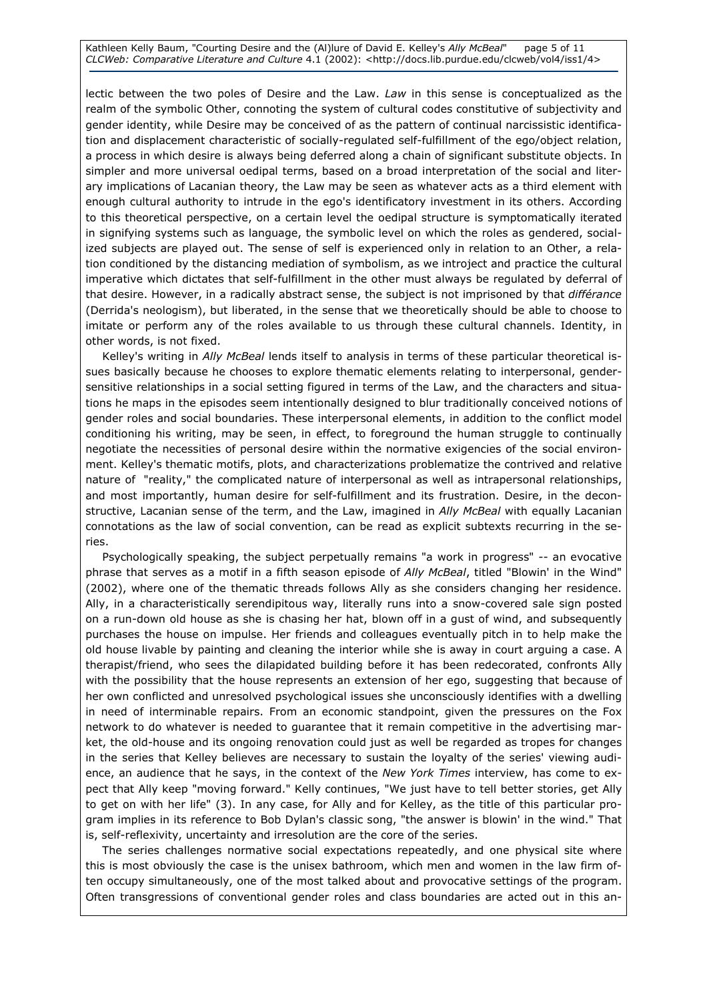Kathleen Kelly Baum, "Courting Desire and the (Al)lure of David E. Kelley's Ally McBeal" page 5 of 11 CLCWeb: Comparative Literature and Culture 4.1 (2002): <http://docs.lib.purdue.edu/clcweb/vol4/iss1/4>

lectic between the two poles of Desire and the Law. Law in this sense is conceptualized as the realm of the symbolic Other, connoting the system of cultural codes constitutive of subjectivity and gender identity, while Desire may be conceived of as the pattern of continual narcissistic identification and displacement characteristic of socially-regulated self-fulfillment of the ego/object relation, a process in which desire is always being deferred along a chain of significant substitute objects. In simpler and more universal oedipal terms, based on a broad interpretation of the social and literary implications of Lacanian theory, the Law may be seen as whatever acts as a third element with enough cultural authority to intrude in the ego's identificatory investment in its others. According to this theoretical perspective, on a certain level the oedipal structure is symptomatically iterated in signifying systems such as language, the symbolic level on which the roles as gendered, socialized subjects are played out. The sense of self is experienced only in relation to an Other, a relation conditioned by the distancing mediation of symbolism, as we introject and practice the cultural imperative which dictates that self-fulfillment in the other must always be regulated by deferral of that desire. However, in a radically abstract sense, the subject is not imprisoned by that différance (Derrida's neologism), but liberated, in the sense that we theoretically should be able to choose to imitate or perform any of the roles available to us through these cultural channels. Identity, in other words, is not fixed.

Kelley's writing in Ally McBeal lends itself to analysis in terms of these particular theoretical issues basically because he chooses to explore thematic elements relating to interpersonal, gendersensitive relationships in a social setting figured in terms of the Law, and the characters and situations he maps in the episodes seem intentionally designed to blur traditionally conceived notions of gender roles and social boundaries. These interpersonal elements, in addition to the conflict model conditioning his writing, may be seen, in effect, to foreground the human struggle to continually negotiate the necessities of personal desire within the normative exigencies of the social environment. Kelley's thematic motifs, plots, and characterizations problematize the contrived and relative nature of "reality," the complicated nature of interpersonal as well as intrapersonal relationships, and most importantly, human desire for self-fulfillment and its frustration. Desire, in the deconstructive, Lacanian sense of the term, and the Law, imagined in Ally McBeal with equally Lacanian connotations as the law of social convention, can be read as explicit subtexts recurring in the series.

Psychologically speaking, the subject perpetually remains "a work in progress" -- an evocative phrase that serves as a motif in a fifth season episode of Ally McBeal, titled "Blowin' in the Wind" (2002), where one of the thematic threads follows Ally as she considers changing her residence. Ally, in a characteristically serendipitous way, literally runs into a snow-covered sale sign posted on a run-down old house as she is chasing her hat, blown off in a gust of wind, and subsequently purchases the house on impulse. Her friends and colleagues eventually pitch in to help make the old house livable by painting and cleaning the interior while she is away in court arguing a case. A therapist/friend, who sees the dilapidated building before it has been redecorated, confronts Ally with the possibility that the house represents an extension of her ego, suggesting that because of her own conflicted and unresolved psychological issues she unconsciously identifies with a dwelling in need of interminable repairs. From an economic standpoint, given the pressures on the Fox network to do whatever is needed to guarantee that it remain competitive in the advertising market, the old-house and its ongoing renovation could just as well be regarded as tropes for changes in the series that Kelley believes are necessary to sustain the loyalty of the series' viewing audience, an audience that he says, in the context of the New York Times interview, has come to expect that Ally keep "moving forward." Kelly continues, "We just have to tell better stories, get Ally to get on with her life" (3). In any case, for Ally and for Kelley, as the title of this particular program implies in its reference to Bob Dylan's classic song, "the answer is blowin' in the wind." That is, self-reflexivity, uncertainty and irresolution are the core of the series.

The series challenges normative social expectations repeatedly, and one physical site where this is most obviously the case is the unisex bathroom, which men and women in the law firm often occupy simultaneously, one of the most talked about and provocative settings of the program. Often transgressions of conventional gender roles and class boundaries are acted out in this an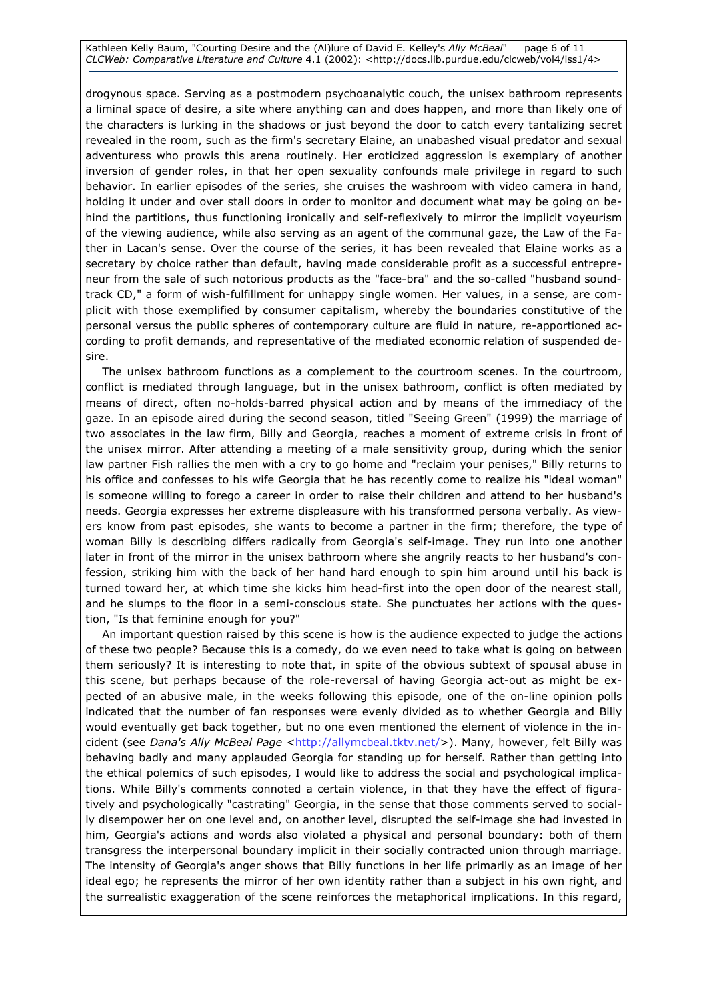Kathleen Kelly Baum, "Courting Desire and the (Al)lure of David E. Kelley's Ally McBeal" page 6 of 11 CLCWeb: Comparative Literature and Culture 4.1 (2002): <http://docs.lib.purdue.edu/clcweb/vol4/iss1/4>

drogynous space. Serving as a postmodern psychoanalytic couch, the unisex bathroom represents a liminal space of desire, a site where anything can and does happen, and more than likely one of the characters is lurking in the shadows or just beyond the door to catch every tantalizing secret revealed in the room, such as the firm's secretary Elaine, an unabashed visual predator and sexual adventuress who prowls this arena routinely. Her eroticized aggression is exemplary of another inversion of gender roles, in that her open sexuality confounds male privilege in regard to such behavior. In earlier episodes of the series, she cruises the washroom with video camera in hand, holding it under and over stall doors in order to monitor and document what may be going on behind the partitions, thus functioning ironically and self-reflexively to mirror the implicit voyeurism of the viewing audience, while also serving as an agent of the communal gaze, the Law of the Father in Lacan's sense. Over the course of the series, it has been revealed that Elaine works as a secretary by choice rather than default, having made considerable profit as a successful entrepreneur from the sale of such notorious products as the "face-bra" and the so-called "husband soundtrack CD," a form of wish-fulfillment for unhappy single women. Her values, in a sense, are complicit with those exemplified by consumer capitalism, whereby the boundaries constitutive of the personal versus the public spheres of contemporary culture are fluid in nature, re-apportioned according to profit demands, and representative of the mediated economic relation of suspended desire.

The unisex bathroom functions as a complement to the courtroom scenes. In the courtroom, conflict is mediated through language, but in the unisex bathroom, conflict is often mediated by means of direct, often no-holds-barred physical action and by means of the immediacy of the gaze. In an episode aired during the second season, titled "Seeing Green" (1999) the marriage of two associates in the law firm, Billy and Georgia, reaches a moment of extreme crisis in front of the unisex mirror. After attending a meeting of a male sensitivity group, during which the senior law partner Fish rallies the men with a cry to go home and "reclaim your penises," Billy returns to his office and confesses to his wife Georgia that he has recently come to realize his "ideal woman" is someone willing to forego a career in order to raise their children and attend to her husband's needs. Georgia expresses her extreme displeasure with his transformed persona verbally. As viewers know from past episodes, she wants to become a partner in the firm; therefore, the type of woman Billy is describing differs radically from Georgia's self-image. They run into one another later in front of the mirror in the unisex bathroom where she angrily reacts to her husband's confession, striking him with the back of her hand hard enough to spin him around until his back is turned toward her, at which time she kicks him head-first into the open door of the nearest stall, and he slumps to the floor in a semi-conscious state. She punctuates her actions with the question, "Is that feminine enough for you?"

An important question raised by this scene is how is the audience expected to judge the actions of these two people? Because this is a comedy, do we even need to take what is going on between them seriously? It is interesting to note that, in spite of the obvious subtext of spousal abuse in this scene, but perhaps because of the role-reversal of having Georgia act-out as might be expected of an abusive male, in the weeks following this episode, one of the on-line opinion polls indicated that the number of fan responses were evenly divided as to whether Georgia and Billy would eventually get back together, but no one even mentioned the element of violence in the incident (see Dana's Ally McBeal Page <http://allymcbeal.tktv.net/>). Many, however, felt Billy was behaving badly and many applauded Georgia for standing up for herself. Rather than getting into the ethical polemics of such episodes, I would like to address the social and psychological implications. While Billy's comments connoted a certain violence, in that they have the effect of figuratively and psychologically "castrating" Georgia, in the sense that those comments served to socially disempower her on one level and, on another level, disrupted the self-image she had invested in him, Georgia's actions and words also violated a physical and personal boundary: both of them transgress the interpersonal boundary implicit in their socially contracted union through marriage. The intensity of Georgia's anger shows that Billy functions in her life primarily as an image of her ideal ego; he represents the mirror of her own identity rather than a subject in his own right, and the surrealistic exaggeration of the scene reinforces the metaphorical implications. In this regard,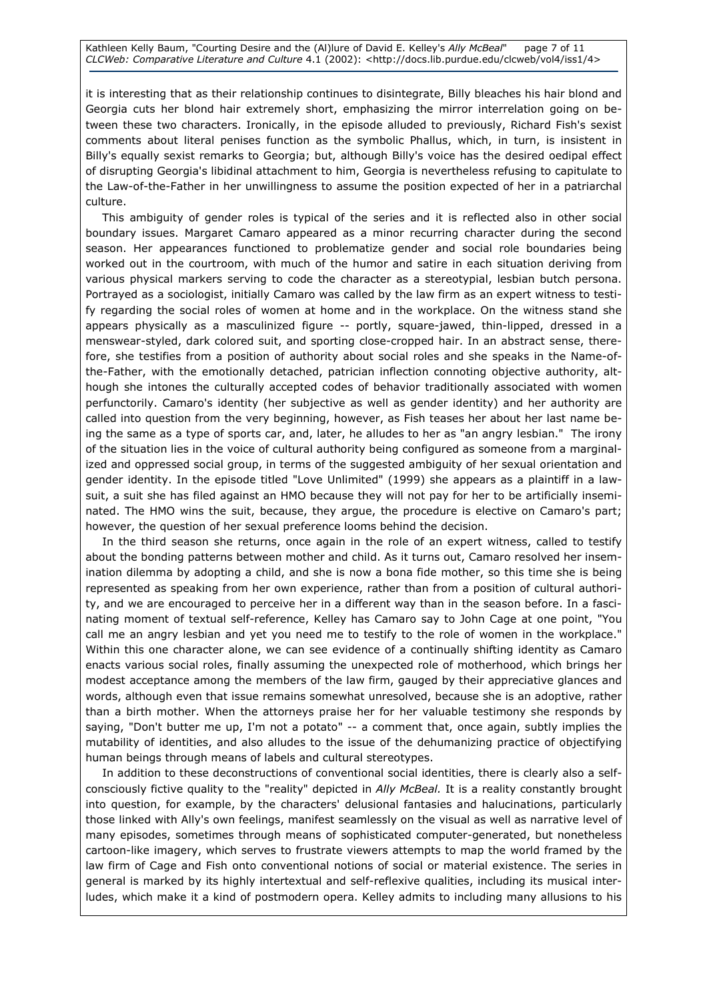Kathleen Kelly Baum, "Courting Desire and the (Al)lure of David E. Kelley's Ally McBeal" page 7 of 11 CLCWeb: Comparative Literature and Culture 4.1 (2002): <http://docs.lib.purdue.edu/clcweb/vol4/iss1/4>

it is interesting that as their relationship continues to disintegrate, Billy bleaches his hair blond and Georgia cuts her blond hair extremely short, emphasizing the mirror interrelation going on between these two characters. Ironically, in the episode alluded to previously, Richard Fish's sexist comments about literal penises function as the symbolic Phallus, which, in turn, is insistent in Billy's equally sexist remarks to Georgia; but, although Billy's voice has the desired oedipal effect of disrupting Georgia's libidinal attachment to him, Georgia is nevertheless refusing to capitulate to the Law-of-the-Father in her unwillingness to assume the position expected of her in a patriarchal culture.

This ambiguity of gender roles is typical of the series and it is reflected also in other social boundary issues. Margaret Camaro appeared as a minor recurring character during the second season. Her appearances functioned to problematize gender and social role boundaries being worked out in the courtroom, with much of the humor and satire in each situation deriving from various physical markers serving to code the character as a stereotypial, lesbian butch persona. Portrayed as a sociologist, initially Camaro was called by the law firm as an expert witness to testify regarding the social roles of women at home and in the workplace. On the witness stand she appears physically as a masculinized figure -- portly, square-jawed, thin-lipped, dressed in a menswear-styled, dark colored suit, and sporting close-cropped hair. In an abstract sense, therefore, she testifies from a position of authority about social roles and she speaks in the Name-ofthe-Father, with the emotionally detached, patrician inflection connoting objective authority, although she intones the culturally accepted codes of behavior traditionally associated with women perfunctorily. Camaro's identity (her subjective as well as gender identity) and her authority are called into question from the very beginning, however, as Fish teases her about her last name being the same as a type of sports car, and, later, he alludes to her as "an angry lesbian." The irony of the situation lies in the voice of cultural authority being configured as someone from a marginalized and oppressed social group, in terms of the suggested ambiguity of her sexual orientation and gender identity. In the episode titled "Love Unlimited" (1999) she appears as a plaintiff in a lawsuit, a suit she has filed against an HMO because they will not pay for her to be artificially inseminated. The HMO wins the suit, because, they argue, the procedure is elective on Camaro's part; however, the question of her sexual preference looms behind the decision.

In the third season she returns, once again in the role of an expert witness, called to testify about the bonding patterns between mother and child. As it turns out, Camaro resolved her insemination dilemma by adopting a child, and she is now a bona fide mother, so this time she is being represented as speaking from her own experience, rather than from a position of cultural authority, and we are encouraged to perceive her in a different way than in the season before. In a fascinating moment of textual self-reference, Kelley has Camaro say to John Cage at one point, "You call me an angry lesbian and yet you need me to testify to the role of women in the workplace." Within this one character alone, we can see evidence of a continually shifting identity as Camaro enacts various social roles, finally assuming the unexpected role of motherhood, which brings her modest acceptance among the members of the law firm, gauged by their appreciative glances and words, although even that issue remains somewhat unresolved, because she is an adoptive, rather than a birth mother. When the attorneys praise her for her valuable testimony she responds by saying, "Don't butter me up, I'm not a potato" -- a comment that, once again, subtly implies the mutability of identities, and also alludes to the issue of the dehumanizing practice of objectifying human beings through means of labels and cultural stereotypes.

In addition to these deconstructions of conventional social identities, there is clearly also a selfconsciously fictive quality to the "reality" depicted in Ally McBeal. It is a reality constantly brought into question, for example, by the characters' delusional fantasies and halucinations, particularly those linked with Ally's own feelings, manifest seamlessly on the visual as well as narrative level of many episodes, sometimes through means of sophisticated computer-generated, but nonetheless cartoon-like imagery, which serves to frustrate viewers attempts to map the world framed by the law firm of Cage and Fish onto conventional notions of social or material existence. The series in general is marked by its highly intertextual and self-reflexive qualities, including its musical interludes, which make it a kind of postmodern opera. Kelley admits to including many allusions to his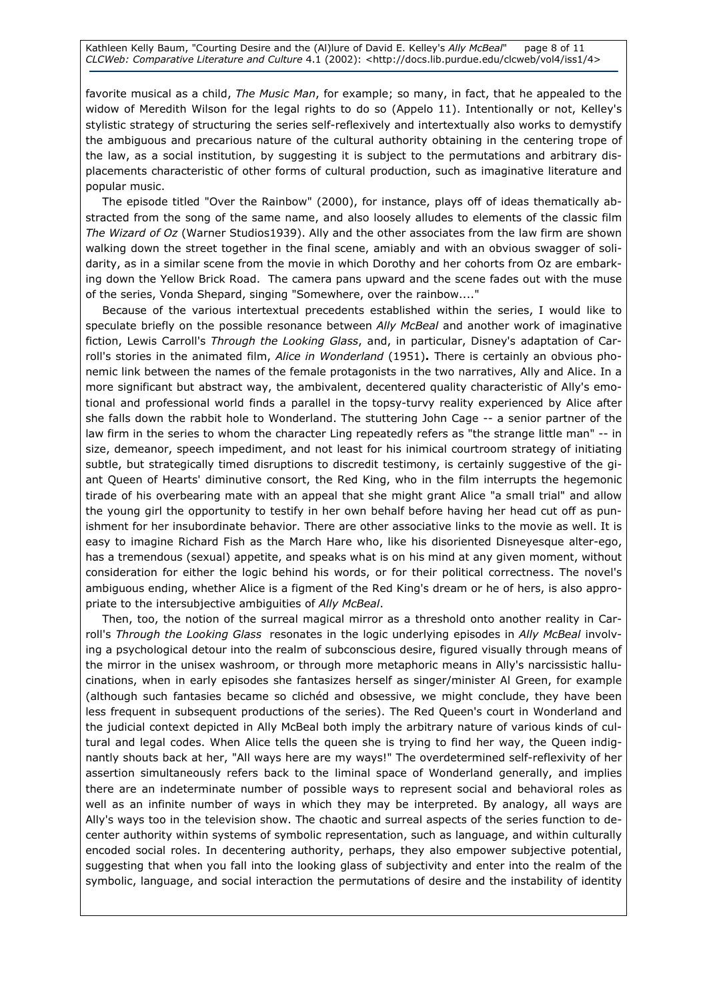Kathleen Kelly Baum, "Courting Desire and the (Al)lure of David E. Kelley's Ally McBeal" page 8 of 11 CLCWeb: Comparative Literature and Culture 4.1 (2002): <http://docs.lib.purdue.edu/clcweb/vol4/iss1/4>

favorite musical as a child, The Music Man, for example; so many, in fact, that he appealed to the widow of Meredith Wilson for the legal rights to do so (Appelo 11). Intentionally or not, Kelley's stylistic strategy of structuring the series self-reflexively and intertextually also works to demystify the ambiguous and precarious nature of the cultural authority obtaining in the centering trope of the law, as a social institution, by suggesting it is subject to the permutations and arbitrary displacements characteristic of other forms of cultural production, such as imaginative literature and popular music.

The episode titled "Over the Rainbow" (2000), for instance, plays off of ideas thematically abstracted from the song of the same name, and also loosely alludes to elements of the classic film The Wizard of Oz (Warner Studios1939). Ally and the other associates from the law firm are shown walking down the street together in the final scene, amiably and with an obvious swagger of solidarity, as in a similar scene from the movie in which Dorothy and her cohorts from Oz are embarking down the Yellow Brick Road. The camera pans upward and the scene fades out with the muse of the series, Vonda Shepard, singing "Somewhere, over the rainbow...."

Because of the various intertextual precedents established within the series, I would like to speculate briefly on the possible resonance between Ally McBeal and another work of imaginative fiction, Lewis Carroll's Through the Looking Glass, and, in particular, Disney's adaptation of Carroll's stories in the animated film, Alice in Wonderland (1951). There is certainly an obvious phonemic link between the names of the female protagonists in the two narratives, Ally and Alice. In a more significant but abstract way, the ambivalent, decentered quality characteristic of Ally's emotional and professional world finds a parallel in the topsy-turvy reality experienced by Alice after she falls down the rabbit hole to Wonderland. The stuttering John Cage -- a senior partner of the law firm in the series to whom the character Ling repeatedly refers as "the strange little man" -- in size, demeanor, speech impediment, and not least for his inimical courtroom strategy of initiating subtle, but strategically timed disruptions to discredit testimony, is certainly suggestive of the giant Queen of Hearts' diminutive consort, the Red King, who in the film interrupts the hegemonic tirade of his overbearing mate with an appeal that she might grant Alice "a small trial" and allow the young girl the opportunity to testify in her own behalf before having her head cut off as punishment for her insubordinate behavior. There are other associative links to the movie as well. It is easy to imagine Richard Fish as the March Hare who, like his disoriented Disneyesque alter-ego, has a tremendous (sexual) appetite, and speaks what is on his mind at any given moment, without consideration for either the logic behind his words, or for their political correctness. The novel's ambiguous ending, whether Alice is a figment of the Red King's dream or he of hers, is also appropriate to the intersubjective ambiguities of Ally McBeal.

Then, too, the notion of the surreal magical mirror as a threshold onto another reality in Carroll's Through the Looking Glass resonates in the logic underlying episodes in Ally McBeal involving a psychological detour into the realm of subconscious desire, figured visually through means of the mirror in the unisex washroom, or through more metaphoric means in Ally's narcissistic hallucinations, when in early episodes she fantasizes herself as singer/minister Al Green, for example (although such fantasies became so clichéd and obsessive, we might conclude, they have been less frequent in subsequent productions of the series). The Red Queen's court in Wonderland and the judicial context depicted in Ally McBeal both imply the arbitrary nature of various kinds of cultural and legal codes. When Alice tells the queen she is trying to find her way, the Queen indignantly shouts back at her, "All ways here are my ways!" The overdetermined self-reflexivity of her assertion simultaneously refers back to the liminal space of Wonderland generally, and implies there are an indeterminate number of possible ways to represent social and behavioral roles as well as an infinite number of ways in which they may be interpreted. By analogy, all ways are Ally's ways too in the television show. The chaotic and surreal aspects of the series function to decenter authority within systems of symbolic representation, such as language, and within culturally encoded social roles. In decentering authority, perhaps, they also empower subjective potential, suggesting that when you fall into the looking glass of subjectivity and enter into the realm of the symbolic, language, and social interaction the permutations of desire and the instability of identity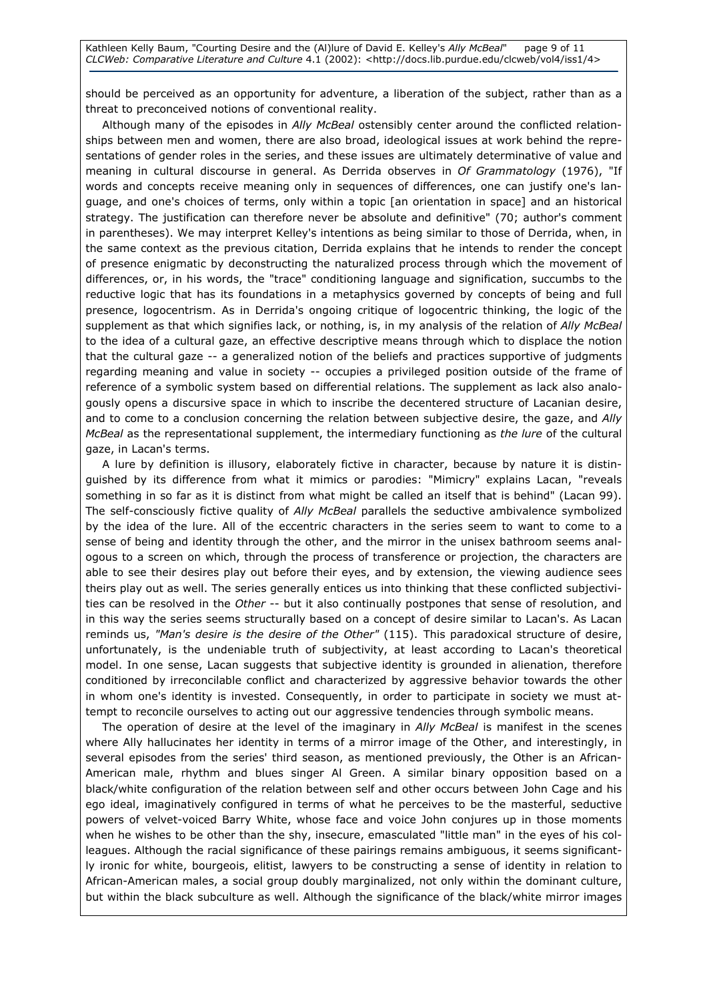should be perceived as an opportunity for adventure, a liberation of the subject, rather than as a threat to preconceived notions of conventional reality.

Although many of the episodes in Ally McBeal ostensibly center around the conflicted relationships between men and women, there are also broad, ideological issues at work behind the representations of gender roles in the series, and these issues are ultimately determinative of value and meaning in cultural discourse in general. As Derrida observes in Of Grammatology (1976), "If words and concepts receive meaning only in sequences of differences, one can justify one's language, and one's choices of terms, only within a topic [an orientation in space] and an historical strategy. The justification can therefore never be absolute and definitive" (70; author's comment in parentheses). We may interpret Kelley's intentions as being similar to those of Derrida, when, in the same context as the previous citation, Derrida explains that he intends to render the concept of presence enigmatic by deconstructing the naturalized process through which the movement of differences, or, in his words, the "trace" conditioning language and signification, succumbs to the reductive logic that has its foundations in a metaphysics governed by concepts of being and full presence, logocentrism. As in Derrida's ongoing critique of logocentric thinking, the logic of the supplement as that which signifies lack, or nothing, is, in my analysis of the relation of Ally McBeal to the idea of a cultural gaze, an effective descriptive means through which to displace the notion that the cultural gaze -- a generalized notion of the beliefs and practices supportive of judgments regarding meaning and value in society -- occupies a privileged position outside of the frame of reference of a symbolic system based on differential relations. The supplement as lack also analogously opens a discursive space in which to inscribe the decentered structure of Lacanian desire, and to come to a conclusion concerning the relation between subjective desire, the gaze, and Ally McBeal as the representational supplement, the intermediary functioning as the lure of the cultural gaze, in Lacan's terms.

A lure by definition is illusory, elaborately fictive in character, because by nature it is distinguished by its difference from what it mimics or parodies: "Mimicry" explains Lacan, "reveals something in so far as it is distinct from what might be called an itself that is behind" (Lacan 99). The self-consciously fictive quality of Ally McBeal parallels the seductive ambivalence symbolized by the idea of the lure. All of the eccentric characters in the series seem to want to come to a sense of being and identity through the other, and the mirror in the unisex bathroom seems analogous to a screen on which, through the process of transference or projection, the characters are able to see their desires play out before their eyes, and by extension, the viewing audience sees theirs play out as well. The series generally entices us into thinking that these conflicted subjectivities can be resolved in the Other -- but it also continually postpones that sense of resolution, and in this way the series seems structurally based on a concept of desire similar to Lacan's. As Lacan reminds us, "Man's desire is the desire of the Other" (115). This paradoxical structure of desire, unfortunately, is the undeniable truth of subjectivity, at least according to Lacan's theoretical model. In one sense, Lacan suggests that subjective identity is grounded in alienation, therefore conditioned by irreconcilable conflict and characterized by aggressive behavior towards the other in whom one's identity is invested. Consequently, in order to participate in society we must attempt to reconcile ourselves to acting out our aggressive tendencies through symbolic means.

The operation of desire at the level of the imaginary in Ally McBeal is manifest in the scenes where Ally hallucinates her identity in terms of a mirror image of the Other, and interestingly, in several episodes from the series' third season, as mentioned previously, the Other is an African-American male, rhythm and blues singer Al Green. A similar binary opposition based on a black/white configuration of the relation between self and other occurs between John Cage and his ego ideal, imaginatively configured in terms of what he perceives to be the masterful, seductive powers of velvet-voiced Barry White, whose face and voice John conjures up in those moments when he wishes to be other than the shy, insecure, emasculated "little man" in the eyes of his colleagues. Although the racial significance of these pairings remains ambiguous, it seems significantly ironic for white, bourgeois, elitist, lawyers to be constructing a sense of identity in relation to African-American males, a social group doubly marginalized, not only within the dominant culture, but within the black subculture as well. Although the significance of the black/white mirror images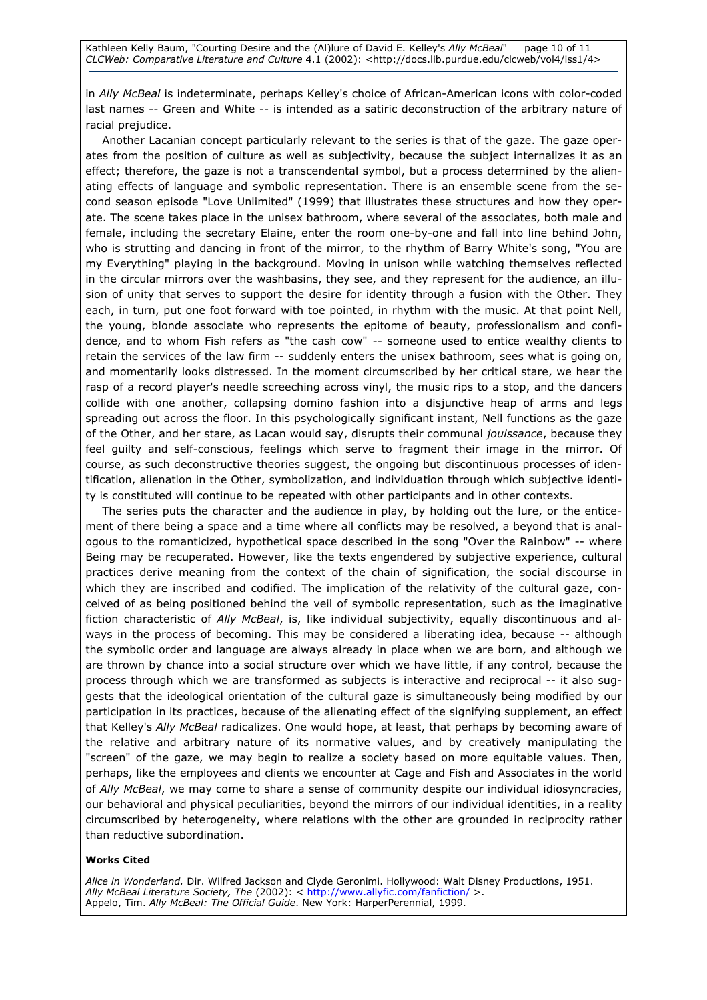in Ally McBeal is indeterminate, perhaps Kelley's choice of African-American icons with color-coded last names -- Green and White -- is intended as a satiric deconstruction of the arbitrary nature of racial prejudice.

Another Lacanian concept particularly relevant to the series is that of the gaze. The gaze operates from the position of culture as well as subjectivity, because the subject internalizes it as an effect; therefore, the gaze is not a transcendental symbol, but a process determined by the alienating effects of language and symbolic representation. There is an ensemble scene from the second season episode "Love Unlimited" (1999) that illustrates these structures and how they operate. The scene takes place in the unisex bathroom, where several of the associates, both male and female, including the secretary Elaine, enter the room one-by-one and fall into line behind John, who is strutting and dancing in front of the mirror, to the rhythm of Barry White's song, "You are my Everything" playing in the background. Moving in unison while watching themselves reflected in the circular mirrors over the washbasins, they see, and they represent for the audience, an illusion of unity that serves to support the desire for identity through a fusion with the Other. They each, in turn, put one foot forward with toe pointed, in rhythm with the music. At that point Nell, the young, blonde associate who represents the epitome of beauty, professionalism and confidence, and to whom Fish refers as "the cash cow" -- someone used to entice wealthy clients to retain the services of the law firm -- suddenly enters the unisex bathroom, sees what is going on, and momentarily looks distressed. In the moment circumscribed by her critical stare, we hear the rasp of a record player's needle screeching across vinyl, the music rips to a stop, and the dancers collide with one another, collapsing domino fashion into a disjunctive heap of arms and legs spreading out across the floor. In this psychologically significant instant, Nell functions as the gaze of the Other, and her stare, as Lacan would say, disrupts their communal jouissance, because they feel guilty and self-conscious, feelings which serve to fragment their image in the mirror. Of course, as such deconstructive theories suggest, the ongoing but discontinuous processes of identification, alienation in the Other, symbolization, and individuation through which subjective identity is constituted will continue to be repeated with other participants and in other contexts.

The series puts the character and the audience in play, by holding out the lure, or the enticement of there being a space and a time where all conflicts may be resolved, a beyond that is analogous to the romanticized, hypothetical space described in the song "Over the Rainbow" -- where Being may be recuperated. However, like the texts engendered by subjective experience, cultural practices derive meaning from the context of the chain of signification, the social discourse in which they are inscribed and codified. The implication of the relativity of the cultural gaze, conceived of as being positioned behind the veil of symbolic representation, such as the imaginative fiction characteristic of Ally McBeal, is, like individual subjectivity, equally discontinuous and always in the process of becoming. This may be considered a liberating idea, because -- although the symbolic order and language are always already in place when we are born, and although we are thrown by chance into a social structure over which we have little, if any control, because the process through which we are transformed as subjects is interactive and reciprocal -- it also suggests that the ideological orientation of the cultural gaze is simultaneously being modified by our participation in its practices, because of the alienating effect of the signifying supplement, an effect that Kelley's Ally McBeal radicalizes. One would hope, at least, that perhaps by becoming aware of the relative and arbitrary nature of its normative values, and by creatively manipulating the "screen" of the gaze, we may begin to realize a society based on more equitable values. Then, perhaps, like the employees and clients we encounter at Cage and Fish and Associates in the world of Ally McBeal, we may come to share a sense of community despite our individual idiosyncracies, our behavioral and physical peculiarities, beyond the mirrors of our individual identities, in a reality circumscribed by heterogeneity, where relations with the other are grounded in reciprocity rather than reductive subordination.

#### Works Cited

Alice in Wonderland. Dir. Wilfred Jackson and Clyde Geronimi. Hollywood: Walt Disney Productions, 1951. Ally McBeal Literature Society, The (2002): < http://www.allyfic.com/fanfiction/ >. Appelo, Tim. Ally McBeal: The Official Guide. New York: HarperPerennial, 1999.